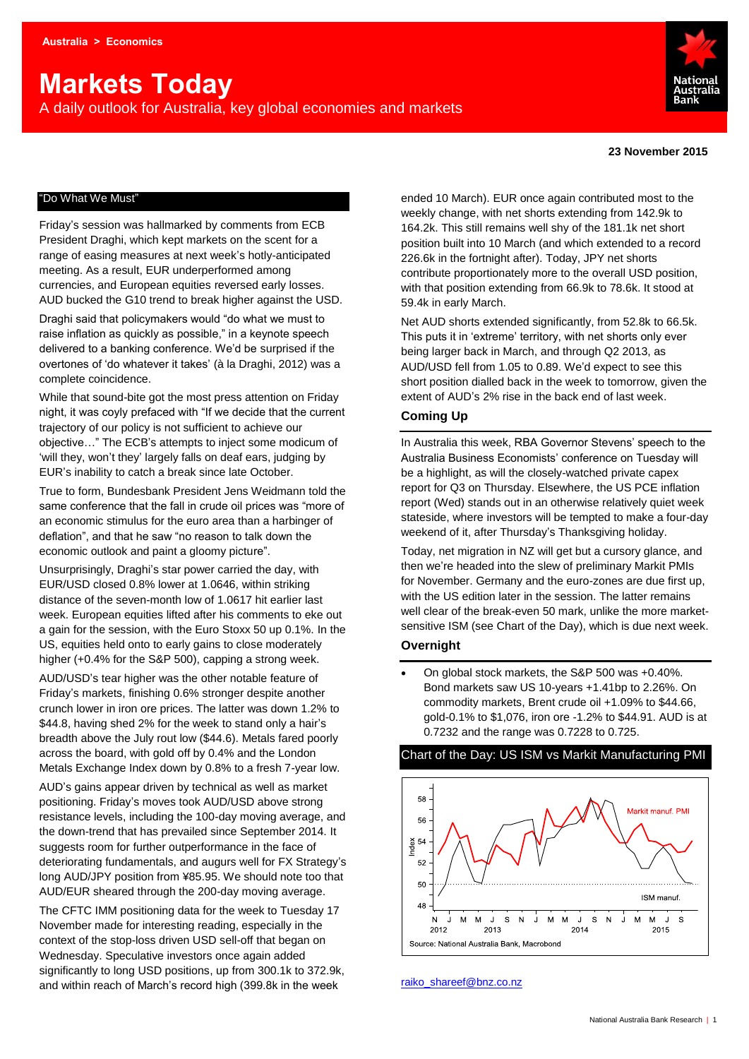# **Markets Today**

A daily outlook for Australia, key global economies and markets



#### **23 November 2015**

#### "Do What We Must"

Friday's session was hallmarked by comments from ECB President Draghi, which kept markets on the scent for a range of easing measures at next week's hotly-anticipated meeting. As a result, EUR underperformed among currencies, and European equities reversed early losses. AUD bucked the G10 trend to break higher against the USD. Draghi said that policymakers would "do what we must to raise inflation as quickly as possible," in a keynote speech delivered to a banking conference. We'd be surprised if the overtones of 'do whatever it takes' (à la Draghi, 2012) was a complete coincidence.

While that sound-bite got the most press attention on Friday night, it was coyly prefaced with "If we decide that the current trajectory of our policy is not sufficient to achieve our objective…" The ECB's attempts to inject some modicum of 'will they, won't they' largely falls on deaf ears, judging by EUR's inability to catch a break since late October.

True to form, Bundesbank President Jens Weidmann told the same conference that the fall in crude oil prices was "more of an economic stimulus for the euro area than a harbinger of deflation", and that he saw "no reason to talk down the economic outlook and paint a gloomy picture".

Unsurprisingly, Draghi's star power carried the day, with EUR/USD closed 0.8% lower at 1.0646, within striking distance of the seven-month low of 1.0617 hit earlier last week. European equities lifted after his comments to eke out a gain for the session, with the Euro Stoxx 50 up 0.1%. In the US, equities held onto to early gains to close moderately higher (+0.4% for the S&P 500), capping a strong week.

AUD/USD's tear higher was the other notable feature of Friday's markets, finishing 0.6% stronger despite another crunch lower in iron ore prices. The latter was down 1.2% to \$44.8, having shed 2% for the week to stand only a hair's breadth above the July rout low (\$44.6). Metals fared poorly across the board, with gold off by 0.4% and the London Metals Exchange Index down by 0.8% to a fresh 7-year low.

AUD's gains appear driven by technical as well as market positioning. Friday's moves took AUD/USD above strong resistance levels, including the 100-day moving average, and the down-trend that has prevailed since September 2014. It suggests room for further outperformance in the face of deteriorating fundamentals, and augurs well for FX Strategy's long AUD/JPY position from ¥85.95. We should note too that AUD/EUR sheared through the 200-day moving average.

The CFTC IMM positioning data for the week to Tuesday 17 November made for interesting reading, especially in the context of the stop-loss driven USD sell-off that began on Wednesday. Speculative investors once again added significantly to long USD positions, up from 300.1k to 372.9k, and within reach of March's record high (399.8k in the week

ended 10 March). EUR once again contributed most to the weekly change, with net shorts extending from 142.9k to 164.2k. This still remains well shy of the 181.1k net short position built into 10 March (and which extended to a record 226.6k in the fortnight after). Today, JPY net shorts contribute proportionately more to the overall USD position, with that position extending from 66.9k to 78.6k. It stood at 59.4k in early March.

Net AUD shorts extended significantly, from 52.8k to 66.5k. This puts it in 'extreme' territory, with net shorts only ever being larger back in March, and through Q2 2013, as AUD/USD fell from 1.05 to 0.89. We'd expect to see this short position dialled back in the week to tomorrow, given the extent of AUD's 2% rise in the back end of last week.

#### **Coming Up**

In Australia this week, RBA Governor Stevens' speech to the Australia Business Economists' conference on Tuesday will be a highlight, as will the closely-watched private capex report for Q3 on Thursday. Elsewhere, the US PCE inflation report (Wed) stands out in an otherwise relatively quiet week stateside, where investors will be tempted to make a four-day weekend of it, after Thursday's Thanksgiving holiday.

Today, net migration in NZ will get but a cursory glance, and then we're headed into the slew of preliminary Markit PMIs for November. Germany and the euro-zones are due first up, with the US edition later in the session. The latter remains well clear of the break-even 50 mark, unlike the more marketsensitive ISM (see Chart of the Day), which is due next week.

#### **Overnight**

 On global stock markets, the S&P 500 was +0.40%. Bond markets saw US 10-years +1.41bp to 2.26%. On commodity markets, Brent crude oil +1.09% to \$44.66, gold-0.1% to \$1,076, iron ore -1.2% to \$44.91. AUD is at 0.7232 and the range was 0.7228 to 0.725.

#### Chart of the Day: US ISM vs Markit Manufacturing PMI



[raiko\\_shareef@bnz.co.nz](mailto:raiko_shareef@bnz.co.nz)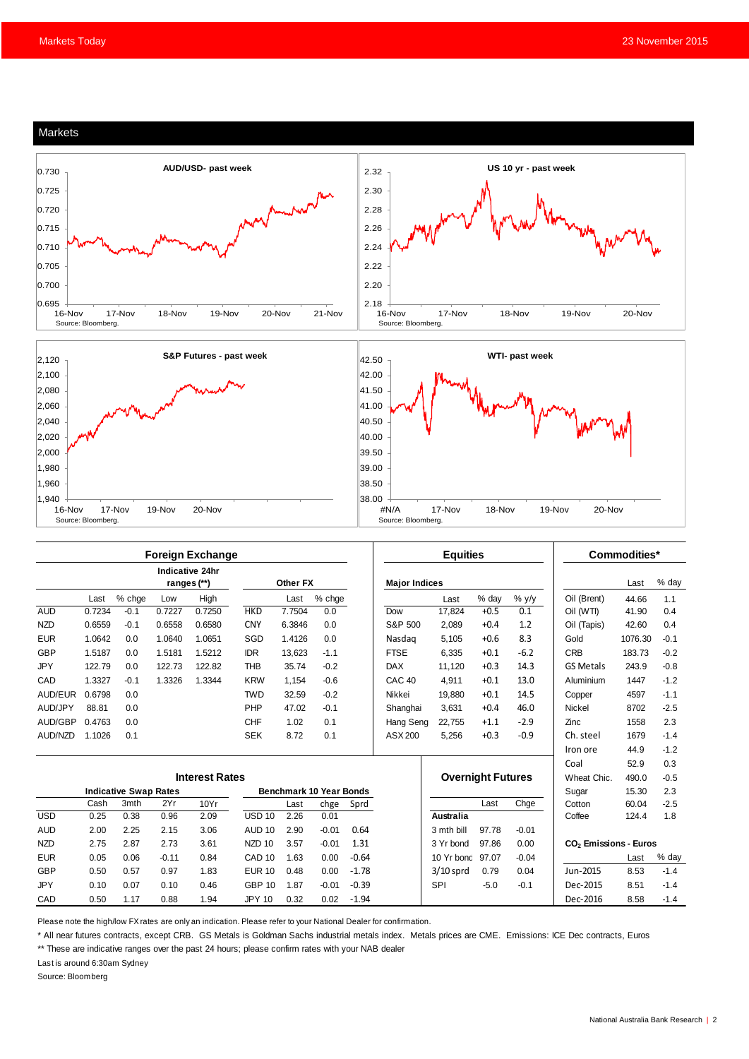

| <b>Foreign Exchange</b> |                              |        |         |                                       |                                |          |         | <b>Equities</b> |                          |                  |        | Commodities* |                                   |         |        |
|-------------------------|------------------------------|--------|---------|---------------------------------------|--------------------------------|----------|---------|-----------------|--------------------------|------------------|--------|--------------|-----------------------------------|---------|--------|
|                         |                              |        |         | <b>Indicative 24hr</b><br>ranges (**) |                                | Other FX |         |                 | <b>Major Indices</b>     |                  |        |              |                                   | Last    | % day  |
|                         | Last                         | % chge | Low     | High                                  |                                | Last     | % chge  |                 |                          | Last             | % day  | $%$ y/y      | Oil (Brent)                       | 44.66   | 1.1    |
| <b>AUD</b>              | 0.7234                       | $-0.1$ | 0.7227  | 0.7250                                | <b>HKD</b>                     | 7.7504   | 0.0     |                 | Dow                      | 17,824           | $+0.5$ | 0.1          | Oil (WTI)                         | 41.90   | 0.4    |
| <b>NZD</b>              | 0.6559                       | $-0.1$ | 0.6558  | 0.6580                                | <b>CNY</b>                     | 6.3846   | 0.0     |                 | S&P 500                  | 2.089            | $+0.4$ | 1.2          | Oil (Tapis)                       | 42.60   | 0.4    |
| <b>EUR</b>              | 1.0642                       | 0.0    | 1.0640  | 1.0651                                | SGD                            | 1.4126   | 0.0     |                 | Nasdag                   | 5.105            | $+0.6$ | 8.3          | Gold                              | 1076.30 | $-0.1$ |
| GBP                     | 1.5187                       | 0.0    | 1.5181  | 1.5212                                | <b>IDR</b>                     | 13,623   | $-1.1$  |                 | <b>FTSE</b>              | 6,335            | $+0.1$ | $-6.2$       | <b>CRB</b>                        | 183.73  | $-0.2$ |
| <b>JPY</b>              | 122.79                       | 0.0    | 122.73  | 122.82                                | <b>THB</b>                     | 35.74    | $-0.2$  |                 | <b>DAX</b>               | 11.120           | $+0.3$ | 14.3         | <b>GS Metals</b>                  | 243.9   | $-0.8$ |
| CAD                     | 1.3327                       | $-0.1$ | 1.3326  | 1.3344                                | <b>KRW</b>                     | 1.154    | $-0.6$  |                 | CAC <sub>40</sub>        | 4.911            | $+0.1$ | 13.0         | Aluminium                         | 1447    | $-1.2$ |
| AUD/EUR                 | 0.6798                       | 0.0    |         |                                       | <b>TWD</b>                     | 32.59    | $-0.2$  |                 | Nikkei                   | 19,880           | $+0.1$ | 14.5         | Copper                            | 4597    | $-1.1$ |
| AUD/JPY                 | 88.81                        | 0.0    |         |                                       | PHP                            | 47.02    | $-0.1$  |                 | Shanghai                 | 3.631            | $+0.4$ | 46.0         | <b>Nickel</b>                     | 8702    | $-2.5$ |
| AUD/GBP                 | 0.4763                       | 0.0    |         |                                       | <b>CHF</b>                     | 1.02     | 0.1     |                 | Hang Seng                | 22,755           | $+1.1$ | $-2.9$       | Zinc                              | 1558    | 2.3    |
| AUD/NZD                 | 1.1026                       | 0.1    |         |                                       | <b>SEK</b>                     | 8.72     | 0.1     |                 | ASX 200                  | 5,256            | $+0.3$ | $-0.9$       | Ch. steel                         | 1679    | $-1.4$ |
|                         |                              |        |         |                                       |                                |          |         |                 |                          |                  |        |              | Iron ore                          | 44.9    | $-1.2$ |
|                         |                              |        |         |                                       |                                |          |         |                 |                          |                  |        |              | Coal                              | 52.9    | 0.3    |
| <b>Interest Rates</b>   |                              |        |         |                                       |                                |          |         |                 | <b>Overnight Futures</b> |                  |        | Wheat Chic.  | 490.0                             | $-0.5$  |        |
|                         | <b>Indicative Swap Rates</b> |        |         |                                       | <b>Benchmark 10 Year Bonds</b> |          |         |                 |                          |                  |        |              | Sugar                             | 15.30   | 2.3    |
|                         | Cash                         | 3mth   | 2Yr     | 10Yr                                  |                                | Last     | chge    | Sprd            |                          |                  | Last   | Chge         | Cotton                            | 60.04   | $-2.5$ |
| <b>USD</b>              | 0.25                         | 0.38   | 0.96    | 2.09                                  | <b>USD 10</b>                  | 2.26     | 0.01    |                 |                          | Australia        |        |              | Coffee                            | 124.4   | 1.8    |
| <b>AUD</b>              | 2.00                         | 2.25   | 2.15    | 3.06                                  | AUD <sub>10</sub>              | 2.90     | $-0.01$ | 0.64            |                          | 3 mth bill       | 97.78  | $-0.01$      |                                   |         |        |
| <b>NZD</b>              | 2.75                         | 2.87   | 2.73    | 3.61                                  | NZD <sub>10</sub>              | 3.57     | $-0.01$ | 1.31            |                          | 3 Yr bond        | 97.86  | 0.00         | CO <sub>2</sub> Emissions - Euros |         |        |
| <b>EUR</b>              | 0.05                         | 0.06   | $-0.11$ | 0.84                                  | CAD <sub>10</sub>              | 1.63     | 0.00    | $-0.64$         |                          | 10 Yr bond 97.07 |        | $-0.04$      |                                   | Last    | % day  |
| <b>GBP</b>              | 0.50                         | 0.57   | 0.97    | 1.83                                  | <b>EUR 10</b>                  | 0.48     | 0.00    | $-1.78$         |                          | $3/10$ sprd      | 0.79   | 0.04         | Jun-2015                          | 8.53    | $-1.4$ |
| <b>JPY</b>              | 0.10                         | 0.07   | 0.10    | 0.46                                  | <b>GBP 10</b>                  | 1.87     | $-0.01$ | $-0.39$         |                          | SPI              | $-5.0$ | $-0.1$       | Dec-2015                          | 8.51    | $-1.4$ |
| CAD                     | 0.50                         | 1.17   | 0.88    | 1.94                                  | <b>JPY 10</b>                  | 0.32     | 0.02    | $-1.94$         |                          |                  |        |              | Dec-2016                          | 8.58    | $-1.4$ |

Please note the high/low FX rates are only an indication. Please refer to your National Dealer for confirmation.

\* All near futures contracts, except CRB. GS Metals is Goldman Sachs industrial metals index. Metals prices are CME. Emissions: ICE Dec contracts, Euros

\*\* These are indicative ranges over the past 24 hours; please confirm rates with your NAB dealer

Last is around 6:30am Sydney

Source: Bloomberg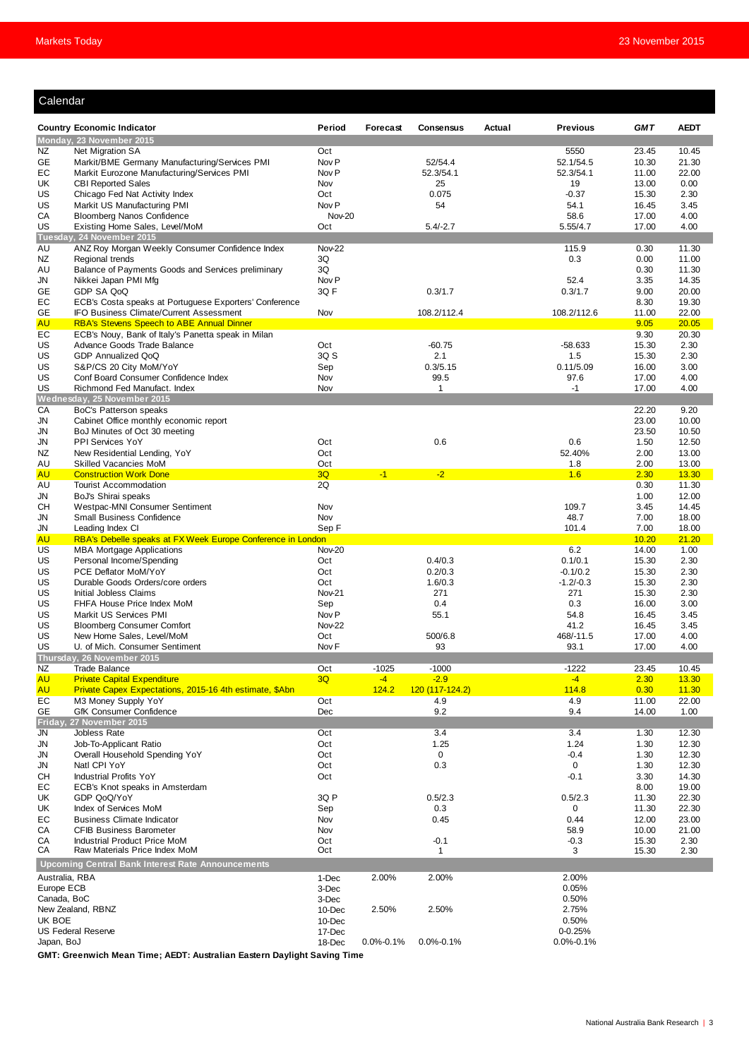## Calendar

| ualtilual                                          |                                                                                                 |                         |                 |                  |        |                   |                |                |
|----------------------------------------------------|-------------------------------------------------------------------------------------------------|-------------------------|-----------------|------------------|--------|-------------------|----------------|----------------|
|                                                    | <b>Country Economic Indicator</b>                                                               | Period                  | Forecast        | <b>Consensus</b> | Actual | <b>Previous</b>   | <b>GMT</b>     | <b>AEDT</b>    |
|                                                    | Monday, 23 November 2015                                                                        |                         |                 |                  |        |                   |                |                |
| NZ                                                 | Net Migration SA                                                                                | Oct                     |                 |                  |        | 5550              | 23.45          | 10.45          |
| GE                                                 | Markit/BME Germany Manufacturing/Services PMI                                                   | Nov <sub>P</sub>        |                 | 52/54.4          |        | 52.1/54.5         | 10.30          | 21.30          |
| EС                                                 | Markit Eurozone Manufacturing/Services PMI                                                      | Nov <sub>P</sub>        |                 | 52.3/54.1        |        | 52.3/54.1         | 11.00          | 22.00          |
| UK                                                 | <b>CBI Reported Sales</b>                                                                       | Nov                     |                 | 25               |        | 19                | 13.00          | 0.00           |
| US<br>US                                           | Chicago Fed Nat Activity Index<br>Markit US Manufacturing PMI                                   | Oct<br>Nov <sub>P</sub> |                 | 0.075<br>54      |        | $-0.37$<br>54.1   | 15.30<br>16.45 | 2.30<br>3.45   |
| CA                                                 | <b>Bloomberg Nanos Confidence</b>                                                               | <b>Nov-20</b>           |                 |                  |        | 58.6              | 17.00          | 4.00           |
| US                                                 | Existing Home Sales, Level/MoM                                                                  | Oct                     |                 | $5.4/-2.7$       |        | 5.55/4.7          | 17.00          | 4.00           |
|                                                    | Tuesday, 24 November 2015                                                                       |                         |                 |                  |        |                   |                |                |
| AU                                                 | ANZ Roy Morgan Weekly Consumer Confidence Index                                                 | Nov-22                  |                 |                  |        | 115.9             | 0.30           | 11.30          |
| NZ                                                 | Regional trends                                                                                 | 3Q                      |                 |                  |        | 0.3               | 0.00           | 11.00          |
| AU<br>JN                                           | Balance of Payments Goods and Services preliminary<br>Nikkei Japan PMI Mfg                      | 3Q<br>Nov <sub>P</sub>  |                 |                  |        | 52.4              | 0.30<br>3.35   | 11.30<br>14.35 |
| GE                                                 | GDP SA QoQ                                                                                      | 3QF                     |                 | 0.3/1.7          |        | 0.3/1.7           | 9.00           | 20.00          |
| EС                                                 | ECB's Costa speaks at Portuguese Exporters' Conference                                          |                         |                 |                  |        |                   | 8.30           | 19.30          |
| GE                                                 | IFO Business Climate/Current Assessment                                                         | Nov                     |                 | 108.2/112.4      |        | 108.2/112.6       | 11.00          | 22.00          |
| <b>AU</b>                                          | <b>RBA's Stevens Speech to ABE Annual Dinner</b>                                                |                         |                 |                  |        |                   | 9.05           | 20.05          |
| EС                                                 | ECB's Nouy, Bank of Italy's Panetta speak in Milan                                              |                         |                 |                  |        |                   | 9.30           | 20.30          |
| US<br>US                                           | Advance Goods Trade Balance<br>GDP Annualized QoQ                                               | Oct<br>3Q S             |                 | $-60.75$<br>2.1  |        | -58.633<br>1.5    | 15.30<br>15.30 | 2.30<br>2.30   |
| US                                                 | S&P/CS 20 City MoM/YoY                                                                          | Sep                     |                 | 0.3/5.15         |        | 0.11/5.09         | 16.00          | 3.00           |
| US                                                 | Conf Board Consumer Confidence Index                                                            | Nov                     |                 | 99.5             |        | 97.6              | 17.00          | 4.00           |
| US                                                 | Richmond Fed Manufact. Index                                                                    | Nov                     |                 | $\mathbf{1}$     |        | $-1$              | 17.00          | 4.00           |
|                                                    | Wednesday, 25 November 2015                                                                     |                         |                 |                  |        |                   |                |                |
| CA                                                 | BoC's Patterson speaks                                                                          |                         |                 |                  |        |                   | 22.20          | 9.20           |
| JN                                                 | Cabinet Office monthly economic report                                                          |                         |                 |                  |        |                   | 23.00          | 10.00          |
| JN                                                 | BoJ Minutes of Oct 30 meeting                                                                   |                         |                 |                  |        |                   | 23.50          | 10.50          |
| <b>JN</b>                                          | PPI Services YoY                                                                                | Oct<br>Oct              |                 | 0.6              |        | 0.6<br>52.40%     | 1.50<br>2.00   | 12.50          |
| NZ<br>AU                                           | New Residential Lending, YoY<br>Skilled Vacancies MoM                                           | Oct                     |                 |                  |        | 1.8               | 2.00           | 13.00<br>13.00 |
| <b>AU</b>                                          | <b>Construction Work Done</b>                                                                   | 3Q                      | $-1$            | $-2$             |        | 1.6               | 2.30           | 13.30          |
| AU                                                 | <b>Tourist Accommodation</b>                                                                    | 2Q                      |                 |                  |        |                   | 0.30           | 11.30          |
| JN                                                 | BoJ's Shirai speaks                                                                             |                         |                 |                  |        |                   | 1.00           | 12.00          |
| CН                                                 | Westpac-MNI Consumer Sentiment                                                                  | Nov                     |                 |                  |        | 109.7             | 3.45           | 14.45          |
| JN                                                 | Small Business Confidence                                                                       | Nov                     |                 |                  |        | 48.7              | 7.00           | 18.00          |
| JN                                                 | Leading Index CI                                                                                | Sep F                   |                 |                  |        | 101.4             | 7.00           | 18.00          |
| <b>AU</b><br>US                                    | RBA's Debelle speaks at FX Week Europe Conference in London<br><b>MBA Mortgage Applications</b> | Nov-20                  |                 |                  |        | 6.2               | 10.20<br>14.00 | 21.20<br>1.00  |
| US                                                 | Personal Income/Spending                                                                        | Oct                     |                 | 0.4/0.3          |        | 0.1/0.1           | 15.30          | 2.30           |
| US                                                 | PCE Deflator MoM/YoY                                                                            | Oct                     |                 | 0.2/0.3          |        | $-0.1/0.2$        | 15.30          | 2.30           |
| US                                                 | Durable Goods Orders/core orders                                                                | Oct                     |                 | 1.6/0.3          |        | $-1.2/-0.3$       | 15.30          | 2.30           |
| US                                                 | Initial Jobless Claims                                                                          | Nov-21                  |                 | 271              |        | 271               | 15.30          | 2.30           |
| US                                                 | FHFA House Price Index MoM                                                                      | Sep                     |                 | 0.4              |        | 0.3               | 16.00          | 3.00           |
| US                                                 | Markit US Services PMI                                                                          | Nov <sub>P</sub>        |                 | 55.1             |        | 54.8              | 16.45          | 3.45           |
| US                                                 | <b>Bloomberg Consumer Comfort</b>                                                               | <b>Nov-22</b>           |                 |                  |        | 41.2              | 16.45          | 3.45           |
| US<br>US                                           | New Home Sales, Level/MoM<br>U. of Mich. Consumer Sentiment                                     | Oct<br>Nov <sub>F</sub> |                 | 500/6.8<br>93    |        | 468/-11.5<br>93.1 | 17.00<br>17.00 | 4.00<br>4.00   |
|                                                    | Thursday, 26 November 2015                                                                      |                         |                 |                  |        |                   |                |                |
| NZ                                                 | Trade Balance                                                                                   | Oct                     | $-1025$         | $-1000$          |        | $-1222$           | 23.45          | 10.45          |
| <b>AU</b>                                          | <b>Private Capital Expenditure</b>                                                              | 3Q                      | $-4$            | $-2.9$           |        | $-4$              | 2.30           | 13.30          |
| <b>AU</b>                                          | Private Capex Expectations, 2015-16 4th estimate, \$Abn                                         |                         | 124.2           | 120 (117-124.2)  |        | 114.8             | 0.30           | 11.30          |
| EC                                                 | M3 Money Supply YoY                                                                             | Oct                     |                 | 4.9              |        | 4.9               | 11.00          | 22.00          |
| GE                                                 | <b>GfK Consumer Confidence</b>                                                                  | Dec                     |                 | 9.2              |        | 9.4               | 14.00          | 1.00           |
| Friday,                                            | 27 November 2015                                                                                |                         |                 |                  |        |                   |                |                |
| JN<br>JN                                           | Jobless Rate<br>Job-To-Applicant Ratio                                                          | Oct<br>Oct              |                 | 3.4<br>1.25      |        | 3.4<br>1.24       | 1.30<br>1.30   | 12.30<br>12.30 |
| JN                                                 | Overall Household Spending YoY                                                                  | Oct                     |                 | 0                |        | $-0.4$            | 1.30           | 12.30          |
| JN                                                 | Natl CPI YoY                                                                                    | Oct                     |                 | 0.3              |        | 0                 | 1.30           | 12.30          |
| CН                                                 | <b>Industrial Profits YoY</b>                                                                   | Oct                     |                 |                  |        | $-0.1$            | 3.30           | 14.30          |
| EС                                                 | ECB's Knot speaks in Amsterdam                                                                  |                         |                 |                  |        |                   | 8.00           | 19.00          |
| UK                                                 | GDP QoQ/YoY                                                                                     | 3Q P                    |                 | 0.5/2.3          |        | 0.5/2.3           | 11.30          | 22.30          |
| UK                                                 | Index of Services MoM                                                                           | Sep                     |                 | 0.3              |        | 0                 | 11.30          | 22.30          |
| EС                                                 | <b>Business Climate Indicator</b>                                                               | Nov                     |                 | 0.45             |        | 0.44              | 12.00          | 23.00          |
| CA<br>СA                                           | <b>CFIB Business Barometer</b><br>Industrial Product Price MoM                                  | Nov<br>Oct              |                 | $-0.1$           |        | 58.9              | 10.00<br>15.30 | 21.00<br>2.30  |
| СA                                                 | Raw Materials Price Index MoM                                                                   | Oct                     |                 | 1                |        | $-0.3$<br>3       | 15.30          | 2.30           |
|                                                    | <b>Upcoming Central Bank Interest Rate Announcements</b>                                        |                         |                 |                  |        |                   |                |                |
| Australia, RBA<br>2.00%<br>2.00%<br>2.00%<br>1-Dec |                                                                                                 |                         |                 |                  |        |                   |                |                |
| Europe ECB                                         |                                                                                                 |                         |                 |                  |        | 0.05%             |                |                |
| Canada, BoC                                        |                                                                                                 | 3-Dec<br>3-Dec          |                 |                  |        | 0.50%             |                |                |
|                                                    | New Zealand, RBNZ                                                                               | 10-Dec                  | 2.50%           | 2.50%            |        | 2.75%             |                |                |
| UK BOE                                             |                                                                                                 | 10-Dec                  |                 |                  |        | 0.50%             |                |                |
|                                                    | <b>US Federal Reserve</b>                                                                       | 17-Dec                  |                 |                  |        | $0 - 0.25%$       |                |                |
| Japan, BoJ                                         |                                                                                                 | 18-Dec                  | $0.0\% - 0.1\%$ | $0.0\% - 0.1\%$  |        | $0.0\% - 0.1\%$   |                |                |

**GMT: Greenwich Mean Time; AEDT: Australian Eastern Daylight Saving Time**